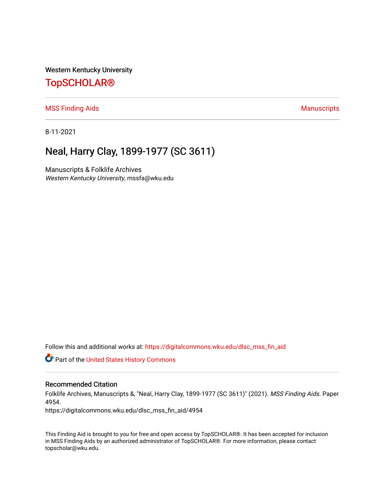Western Kentucky University

## [TopSCHOLAR®](https://digitalcommons.wku.edu/)

[MSS Finding Aids](https://digitalcommons.wku.edu/dlsc_mss_fin_aid) **Manuscripts** [Manuscripts](https://digitalcommons.wku.edu/dlsc_mss) **Manuscripts** 

8-11-2021

# Neal, Harry Clay, 1899-1977 (SC 3611)

Manuscripts & Folklife Archives Western Kentucky University, mssfa@wku.edu

Follow this and additional works at: [https://digitalcommons.wku.edu/dlsc\\_mss\\_fin\\_aid](https://digitalcommons.wku.edu/dlsc_mss_fin_aid?utm_source=digitalcommons.wku.edu%2Fdlsc_mss_fin_aid%2F4954&utm_medium=PDF&utm_campaign=PDFCoverPages) 

**C** Part of the United States History Commons

#### Recommended Citation

Folklife Archives, Manuscripts &, "Neal, Harry Clay, 1899-1977 (SC 3611)" (2021). MSS Finding Aids. Paper 4954.

https://digitalcommons.wku.edu/dlsc\_mss\_fin\_aid/4954

This Finding Aid is brought to you for free and open access by TopSCHOLAR®. It has been accepted for inclusion in MSS Finding Aids by an authorized administrator of TopSCHOLAR®. For more information, please contact topscholar@wku.edu.